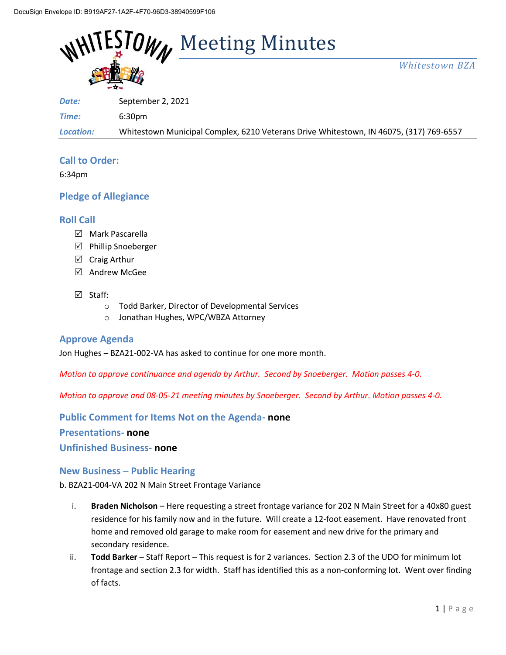

*Whitestown BZA*

*Date:* September 2, 2021

*Time:* 6:30pm

*Location:* Whitestown Municipal Complex, 6210 Veterans Drive Whitestown, IN 46075, (317) 769-6557

# **Call to Order:**

6:34pm

# **Pledge of Allegiance**

### **Roll Call**

- $\boxdot$  Mark Pascarella
- $\boxtimes$  Phillip Snoeberger
- $\boxtimes$  Craig Arthur
- Andrew McGee

### $\boxtimes$  Staff:

- o Todd Barker, Director of Developmental Services
- o Jonathan Hughes, WPC/WBZA Attorney

### **Approve Agenda**

Jon Hughes – BZA21-002-VA has asked to continue for one more month.

*Motion to approve continuance and agenda by Arthur. Second by Snoeberger. Motion passes 4-0.*

*Motion to approve and 08-05-21 meeting minutes by Snoeberger. Second by Arthur. Motion passes 4-0.*

**Public Comment for Items Not on the Agenda- none**

### **Presentations- none**

**Unfinished Business- none**

### **New Business – Public Hearing**

b. BZA21-004-VA 202 N Main Street Frontage Variance

- i. **Braden Nicholson** Here requesting a street frontage variance for 202 N Main Street for a 40x80 guest residence for his family now and in the future. Will create a 12-foot easement. Have renovated front home and removed old garage to make room for easement and new drive for the primary and secondary residence.
- ii. **Todd Barker** Staff Report This request is for 2 variances. Section 2.3 of the UDO for minimum lot frontage and section 2.3 for width. Staff has identified this as a non-conforming lot. Went over finding of facts.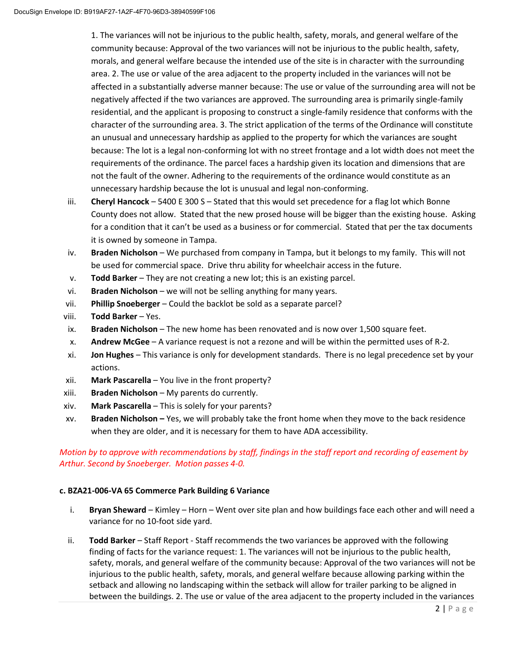1. The variances will not be injurious to the public health, safety, morals, and general welfare of the community because: Approval of the two variances will not be injurious to the public health, safety, morals, and general welfare because the intended use of the site is in character with the surrounding area. 2. The use or value of the area adjacent to the property included in the variances will not be affected in a substantially adverse manner because: The use or value of the surrounding area will not be negatively affected if the two variances are approved. The surrounding area is primarily single-family residential, and the applicant is proposing to construct a single-family residence that conforms with the character of the surrounding area. 3. The strict application of the terms of the Ordinance will constitute an unusual and unnecessary hardship as applied to the property for which the variances are sought because: The lot is a legal non-conforming lot with no street frontage and a lot width does not meet the requirements of the ordinance. The parcel faces a hardship given its location and dimensions that are not the fault of the owner. Adhering to the requirements of the ordinance would constitute as an unnecessary hardship because the lot is unusual and legal non-conforming.

- iii. **Cheryl Hancock** 5400 E 300 S Stated that this would set precedence for a flag lot which Bonne County does not allow. Stated that the new prosed house will be bigger than the existing house. Asking for a condition that it can't be used as a business or for commercial. Stated that per the tax documents it is owned by someone in Tampa.
- iv. **Braden Nicholson**  We purchased from company in Tampa, but it belongs to my family. This will not be used for commercial space. Drive thru ability for wheelchair access in the future.
- v. **Todd Barker** They are not creating a new lot; this is an existing parcel.
- vi. **Braden Nicholson** we will not be selling anything for many years.
- vii. **Phillip Snoeberger** Could the backlot be sold as a separate parcel?
- viii. **Todd Barker** Yes.
- ix. **Braden Nicholson** The new home has been renovated and is now over 1,500 square feet.
- x. **Andrew McGee** A variance request is not a rezone and will be within the permitted uses of R-2.
- xi. **Jon Hughes** This variance is only for development standards. There is no legal precedence set by your actions.
- xii. **Mark Pascarella** You live in the front property?
- xiii. **Braden Nicholson** My parents do currently.
- xiv. **Mark Pascarella** This is solely for your parents?
- xv. **Braden Nicholson –** Yes, we will probably take the front home when they move to the back residence when they are older, and it is necessary for them to have ADA accessibility.

### *Motion by to approve with recommendations by staff, findings in the staff report and recording of easement by Arthur. Second by Snoeberger. Motion passes 4-0.*

### **c. BZA21-006-VA 65 Commerce Park Building 6 Variance**

- i. **Bryan Sheward** Kimley Horn Went over site plan and how buildings face each other and will need a variance for no 10-foot side yard.
- ii. **Todd Barker** Staff Report Staff recommends the two variances be approved with the following finding of facts for the variance request: 1. The variances will not be injurious to the public health, safety, morals, and general welfare of the community because: Approval of the two variances will not be injurious to the public health, safety, morals, and general welfare because allowing parking within the setback and allowing no landscaping within the setback will allow for trailer parking to be aligned in between the buildings. 2. The use or value of the area adjacent to the property included in the variances